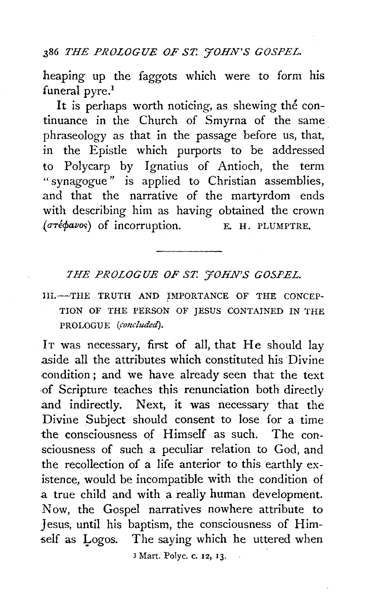#### .386 *THE PROLOGUE OF ST. YOHN'S GOSPEL.*

heaping up the faggots which were to form his funeral pyre.<sup>1</sup>

It is perhaps worth noticing, as shewing the continuance in the Church of Smyrna of the same phraseology as that in the passage before us, that, in the Epistle which purports to be addressed to Polycarp by Ignatius of Antioch, the term " synagogue " is applied to Christian assemblies, and that the narrative of the martyrdom ends with describing him as having obtained the crown ( $\sigma$ ré $\phi$ avos) of incorruption. E. H. PLUMPTRE.

## *7HE PROLOGUE OF ST. 'JOHN'S GOSPEL.*

III.-THE TRUTH AND IMPORTANCE OF THE CONCEP-TION OF THE PERSON OF JESUS CONTAINED IN THE PROLOGUE (concluded).

IT was necessary, first of all, that He should lay aside all the attributes which constituted his Divine condition; and we have already seen that the text .of Scripture teaches this renunciation both directly and indirectly. Next, it was necessary that the Divine Subject should consent to lose for a time the consciousness of Himself as such. The consciousness of such a peculiar relation to God, and the recollection of a life anterior to this earthly existence, would be incompatible with the condition of a true child and with a really human development. Now, the Gospel narratives nowhere attribute to Jesus, until his baptism, the consciousness of Him self as Logos. The saying which he uttered when

*3* Mart. Polyc. c. 12, 13.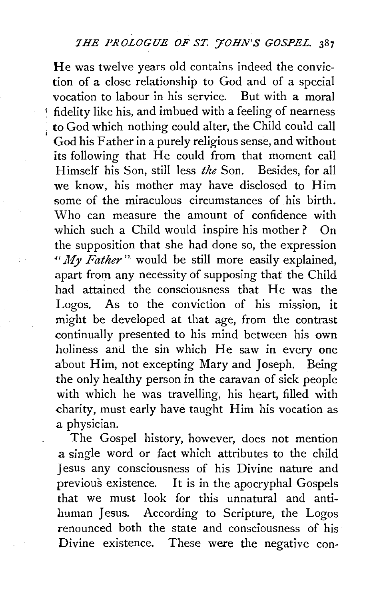He was twelve years old contains indeed the conviction of a close relationship to God and of a special vocation to labour in his service. But with a moral <sup>~</sup>fidelity like his, and imbued with a feeling of nearness , to God which nothing could alter, the Child could call God his Father in a purely religious sense, and without its following that He could from that moment call Himself his Son, still less *the* Son. Besides, for all we know, his mother may have disclosed to Him some of the miraculous circumstances of his birth. Who can measure the amount of confidence with which such a Child would inspire his mother? On the supposition that she had done so, the expression " $My$  *Father*" would be still more easily explained, apart from any necessity of supposing that the Child had attained the consciousness that He was the Logos. As to the conviction of his mission, it might be developed at that age, from the contrast continually presented .to his mind between his own holiness and the sin which He saw in every one about Him, not excepting Mary and Joseph. Being the only healthy person in the caravan of sick people with which he was travelling, his heart, filled with charity, must early have taught Him his vocation as a physician.

I

The Gospel history, however, does not mention a single word or fact which attributes to the child Jesus any consciousness of his Divine nature and previous existence. It is in the apocryphal Gospels that we must look for this unnatural and antihuman Jesus. According to Scripture, the Logos renounced both the state and consciousness of his Divine existence. These were the negative con-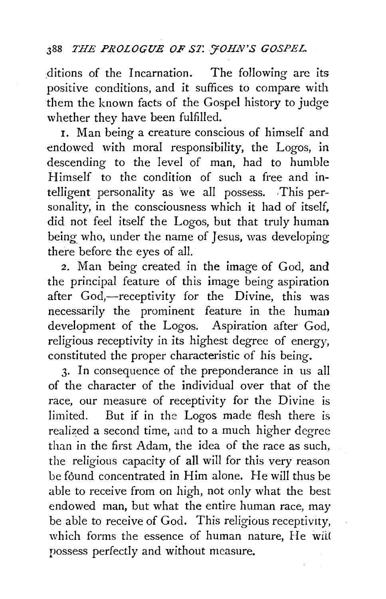# <sup>388</sup> *THE PROLOGUE OF ST. FOHN'S GOSPEL.*

ditions of the Incarnation. The following are its positive conditions, and it suffices to compare with them the known facts of the Gospel history to judge whether they have been fulfilled.

I. Man being a creature conscious of himself and endowed with moral responsibility, the Logos, in descending to the level of man, had to humble Himself to the condition of such a free and intelligent personality as we all possess. This personality, in the consciousness which it had of itself, did not feel itself the Logos, but that truly human being who, under the name of Jesus, was developing there before the eyes of all.

2. Man being created in the image of God, and the principal feature of this image being aspiration after God,-receptivity for the Divine, this was necessarily the prominent feature in the human development of the Logos. Aspiration after God, religious receptivity in its highest degree of energy, constituted the proper characteristic of his being.

3· In consequence of the preponderance in us all of the character of the individual over that of the race, our measure of receptivity for the Divine is limited. But if in the Logos made flesh there is realized a second time, and to a much higher degree than in the first Adam, the idea of the race as such, the religious capacity of all will for this very reason be found concentrated in Him alone. He will thus be able to receive from on high, not only what the best endowed man, but what the entire human race, may be able to receive of God. This religious receptivity, which forms the essence of human nature. He wiit possess perfectly and without measure.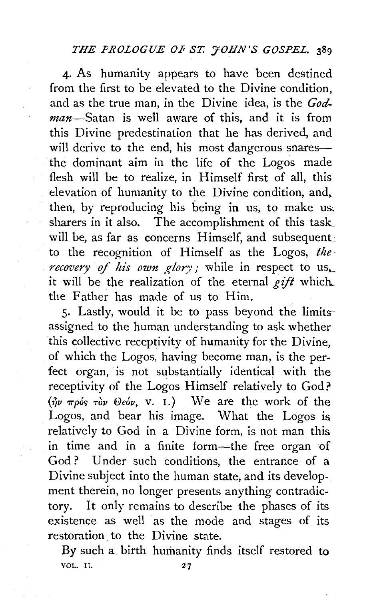#### *THE PROLOGUE OF ST. FOHN'S GOSPEL.* 389

4· As humanity appears to have been destined from the first to be elevated to the Divine condition, and as the true man, in the Divine idea, is the *God*man-Satan is well aware of this, and it is from this Divine predestination that he has derived, and will derive to the end, his most dangerous snaresthe dominant aim in the life of the Logos made flesh will be to realize, in Himself first of all, this elevation of humanity to the Divine condition, and, then, by reproducing his being in us, to make u& sharers in it also. The accomplishment of this task will be, as far as concerns Himself, and subsequent to the recognition of Himself as the Logos, *the· recovery of his own glory;* while in respect to us. it will be the realization of the eternal  $\ell$ *ift* which... the Father has made of us to Him.

5· Lastly, would it be to pass beyond the limits· assigned to the human understanding to ask whether this collective receptivity of humanity for the Divine, of which the Logos, having become man, is the perfect organ, is not substantially identical with the receptivity of the Logos Himself relatively to God?  $({}^{\phi}_{\eta\nu}$   $_{\pi\rho}$ ós  $_{\tau}$ òv  $\Theta$ εόν, v. 1.) We are the work of the Logos, and bear his image. What the Logos is relatively to God in a Divine form, is not man this in time and in a finite form-the free organ of God? Under such conditions, the entrance of a Divine subject into the human state, and its development therein, no longer presents anything contradictory. It only remains to describe the phases of its existence as well as the mode and stages of its restoration to the Divine state.

By such a birth humanity finds itself restored to VOL. H.  $27$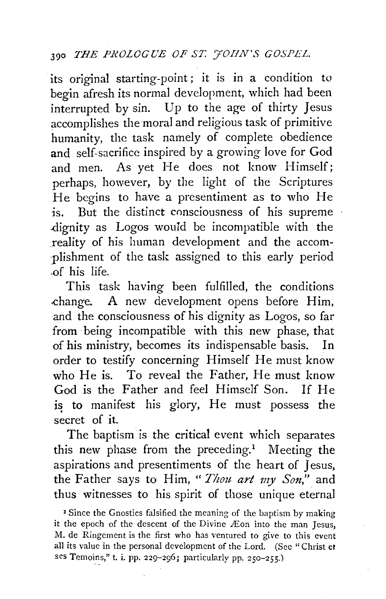its original starting-point; it is in a condition to begin afresh its normal development, which had been interrupted by sin. Up to the age of thirty Jesus accomplishes the moral and religious task of primitive humanity, the task namely of complete obedience and self-sacrifice inspired by a growing love for God and men. As yet He does not know Himself; perhaps, however, by the light of the Scriptures He begins to have a presentiment as to who He 1s. But the distinct consciousness of his supreme dignity as Logos would be incompatible with the reality of his human development and the accomplishment of the task assigned to this early period .of his life.

This task having been fulfilled, the conditions .change. A new development opens before Him, and the consciousness of his dignity as Logos, so far from being incompatible with this new phase, that of his ministry, becomes its indispensable basis. In order to testify concerning Himself He must know who He is. To reveal the Father, He must know God is the Father and feel Himself Son. If He is to manifest his glory, He must possess the secret of it.

The baptism is the critical event which separates this new phase from the preceding.<sup>1</sup> Meeting the aspirations and presentiments of the heart of Jesus, the Father says to Him, " *Thou art my Son,"* and thus witnesses to his spirit of those unique eternal

<sup>1</sup> Since the Gnostics falsified the meaning of the baptism by making it the epoch of the descent of the Divine £on into the man Jesus, M. de Ringement is the first who has ventured to give to this event all its value in the personal development of the Lord. (See " Christ et ses Temoins," t. i. pp. 229-296; particularly pp. 250-255.)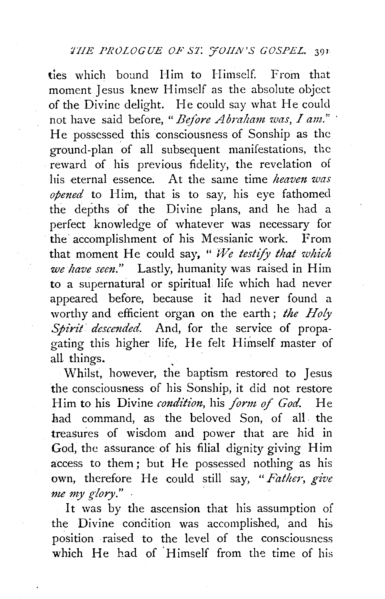ties which bound Him to Himself. From that moment Jesus knew Himself as the absolute object of the Divine delight. He could say what He could not have said before, "Before Abraham was, I am." He possessed this consciousness of Sonship as the ground-plan of all subsequent manifestations, the reward of his previous fidelity, the revelation of his eternal essence. At the same time *heaven was opened* to Him, that is to say, his eye fathomed the depths of the Divine plans, and he had a perfect knowledge of whatever was necessary for the accomplishment of his Messianic work. From that moment He could say, " We testify that which *we have seen."* Lastly, humanity was raised in Him to a supernatural or spiritual life which had never appeared before, because it had never found a worthy and efficient organ on the earth ; *the Holy Spirit· descended.* And, for the service of propagating this higher life, He felt Himself master of all things.

Whilst, however, the baptism restored to Jesus the consciousness of his Sonship, it did not restore Him to his Divine *condition,* his *form of God.* He had command, as the beloved Son, of all the treasures of wisdom and power that are hid in God, the assurance of his filial dignity giving Him access to them; but He possessed nothing as his own, therefore He could still say, *"Father, give*  me my glory."

It was by the ascension that his assumption of the Divine condition was accomplished, and his position raised to the level of the consciousness which He had of Himself from the time of his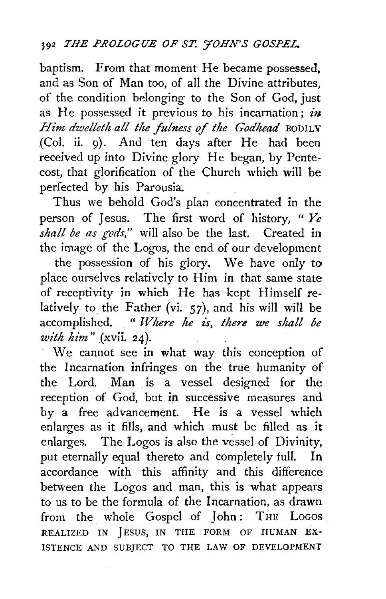baptism. From that moment He became possessed, and as Son of Man too, of all the Divine attributes. of the condition belonging to the Son of God, just as He possessed it previous to his incarnation; *in Him dwelleth all the fulness of the Godhead* BODILY (Col. ii. 9). And ten days after He had been received up into Divine glory He began, by Pentecost, that glorification of the Church which will be perfected by his Parousia.

Thus we behold God's plan concentrated in the person of Jesus. The first word of history, " *Ye*  shall be as gods," will also be the last. Created in the image of the Logos, the end of our development

the possession of his glory, We have only to place ourselves relatively to Him in that same state of receptivity in which He has kept Himself relatively to the Father (vi. 57), and his will will be accomplished. . " Where he is, there we shall be *with him"* (xvii. 24).

We cannot see in what way this conception of the Incarnation infringes on the true humanity of the Lord. Man is a vessel designed for the reception of God, but in successive measures and by a free advancement. He is a vessel which enlarges as it fills, and which must be filled as it enlarges. The Logos is also the vessel of Divinity, put eternally equal thereto and completely full. In accordance with this affinity and this difference between the Logos and man, this is what appears to us to be the formula of the Incarnation, as drawn from the whole Gospel of John: THE LOGOS REALIZED IN JESUS, IN THE FORM OF HUMAN EX-ISTENCE AND SUBJECT TO THE LAW OF DEVELOPMENT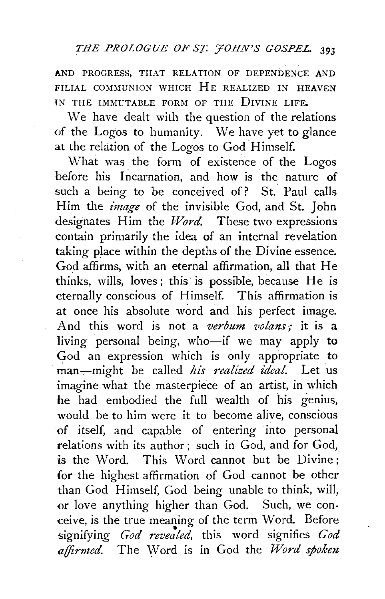AND PROGRESS, THAT RELATION OF DEPENDENCE AND FILIAL COMMUNION WHICH HE REALIZED IN HEAVEN lN THE IMMUTABLE FORM OF THE DIVINE LIFE.

We have dealt with the question of the relations of the Logos to humanity. \Ve have yet to glance at the relation of the Logos to God Himself.

What was the form of existence of the Logos before his Incarnation, and how is the nature of such a being to be conceived of? St. Paul calls Him the *image* of the invisible God, and St. John designates Him the *Word.* These two expressions contain primarily the idea of an internal revelation taking place within the depths of the Divine essence. God affirms; with an eternal affirmation, all that He thinks, wills, loves ; this is possible, because He is eternally conscious of Himself. This affirmation is at once his absolute word and his perfect image. And this word is not a *verbum volans*; it is a living personal being, who-if we may apply to God an expression which is only appropriate to man-might be called *his realized ideal.* Let us imagine what the masterpiece of an artist, in which he had embodied the full wealth of his genius, would he to him were it to become alive, conscious of itself, and capable of entering into personal relations with its author; such in God, and for God, is the Word. This Word cannot but be Divine : for the highest affirmation of God cannot be other than God Himself, God being unable to think, will, or love anything higher than God. Such, we conceive, is the true meaning of the term Word. Before • signifying *God revealed,* this word signifies *God affirmed.* The Word is in God the *Word spoken*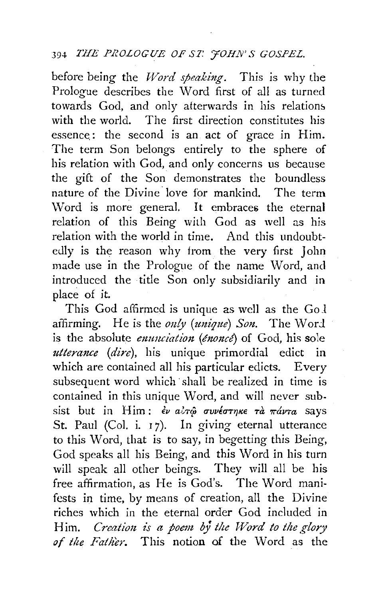### 394 *THE PROLOGUE OF ST. 'JOHN'S GOSPEL.*

before being the *l/Vord speaking.* This is why the Prologue describes the Word first of all as turned towards God, and only afterwards in his relations with the world. The first direction constitutes his essence.: the second is an act of grace in Him. The term Son belongs entirely to the sphere of his relation with God, and only concerns us because the gift of the Son demonstrates the boundless nature of the Divine· love for mankind. The term Word is more general. It embraces the eternal relation of this Being with God as well as his relation with the world in time. And this undoubtedly is the reason why from the very first John made use in the Prologue of the name Word, and introduced the title Son only subsidiarily and in place of it.

This God affirmed is unique as well as the  $Go1$ affirming. He is the *only (unique) Son*. The Word is the absolute *enunciation (énoncé*) of God, his sole *utterance (dire),* his unique primordial edict in which are contained all his particular edicts. Every subsequent word which shall be realized in time is contained in this unique Word, and will never subsist but in Him:  $\epsilon v$  alr $\hat{\omega}$  ovv $\epsilon$ ornke rà  $\pi \hat{a} v \tau a$  says St. Paul (Col. i.  $17$ ). In giving eternal utterance to this Word, that is to say, in begetting this Being, God speaks all his Being, and this \Vord in his turn will speak all other beings. They will all be his free affirmation, as He is God's. The Word manifests in time, by means of creation, all the Divine riches which in the eternal order God included in Him. *Creation is a poem by the Word to the glory* of the Father. This notion of the Word as the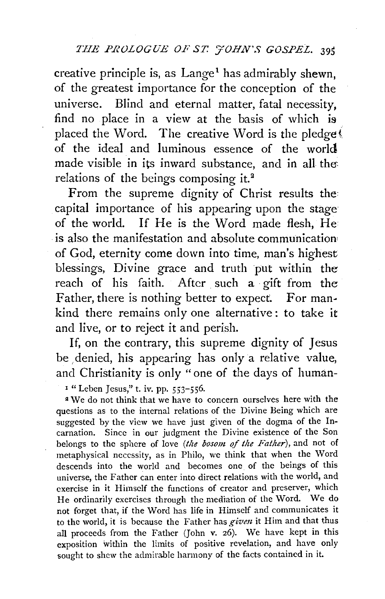creative principle is, as  $Lange<sup>1</sup>$  has admirably shewn. of the greatest importance for the conception of the universe. Blind and eternal matter, fatal necessity, find no place in a view at the basis of which is placed the Word. The creative Word is the pledge of the ideal and luminous essence of the world made visible in its inward substance, and in all the: relations of the beings composing it.<sup>2</sup>

From the supreme dignity of Christ results the capital importance of his appearing upon the stage of the world. If He is the Word made flesh, He is also the manifestation and absolute communication of God, eternity come down into time, man's highest blessings, Divine grace and truth put within the reach of his faith. After such a gift from the Father, there is nothing better to expect. For mankind there remains only one alternative: to take it and live, or to reject it and perish.

If, on the contrary, this supreme dignity of Jesus be denied, his appearing has only a relative value, and Christianity is only "one of the days of human-

<sup>1</sup> "Leben Jesus," t. iv. pp. 553-556.

2 We do not think that we have to concern ourselves here with the questions as to the internal relations of the Divine Being which are suggested by the view we have just given of the dogma of the Incarnation. Since in our judgment the Divine existence of the Son belongs to the sphere of love *(the bosom of the Father),* and not of metaphysical necessity, as in Philo, we think that when the \Vord descends into the world and becomes one of the beings of this universe, the Father can enter into direct relations with the world, and exercise in it Himself the functions of creator and preserver, which He ordinarily exercises through the mediation of the Word. We do not forget that, if the Word has life in Himself and communicates it to the world, it is because the Father has *given* it Him and that thus all proceeds from the Father (John v. 26). We have kept in this exposition within the limits of positive revelation, and have only sought to shew the admirable harmony of the facts contained in it.